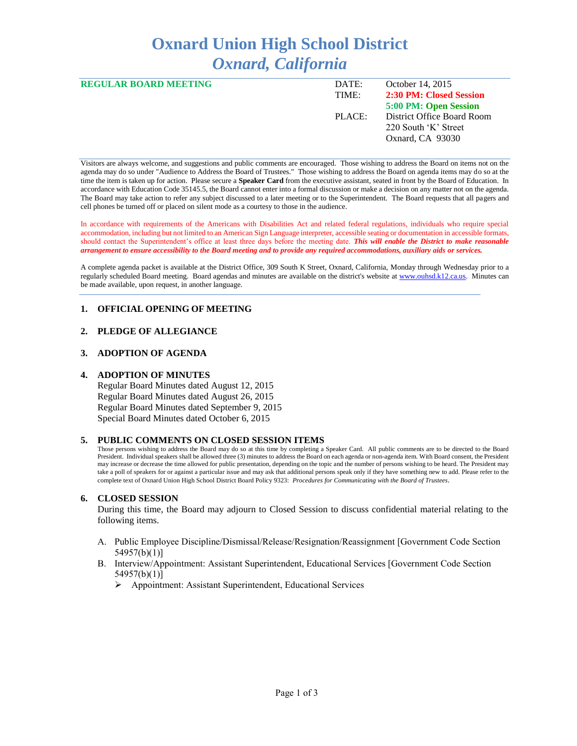# **Oxnard Union High School District** *Oxnard, California*

| <b>REGULAR BOARD MEETING</b> | DATE:  | October 14, 2015           |
|------------------------------|--------|----------------------------|
|                              | TIME:  | 2:30 PM: Closed Session    |
|                              |        | 5:00 PM: Open Session      |
|                              | PLACE: | District Office Board Room |
|                              |        | 220 South 'K' Street       |
|                              |        | Oxnard, CA 93030           |
|                              |        |                            |

Visitors are always welcome, and suggestions and public comments are encouraged. Those wishing to address the Board on items not on the agenda may do so under "Audience to Address the Board of Trustees." Those wishing to address the Board on agenda items may do so at the time the item is taken up for action. Please secure a **Speaker Card** from the executive assistant, seated in front by the Board of Education. In accordance with Education Code 35145.5, the Board cannot enter into a formal discussion or make a decision on any matter not on the agenda. The Board may take action to refer any subject discussed to a later meeting or to the Superintendent. The Board requests that all pagers and cell phones be turned off or placed on silent mode as a courtesy to those in the audience.

In accordance with requirements of the Americans with Disabilities Act and related federal regulations, individuals who require special accommodation, including but not limited to an American Sign Language interpreter, accessible seating or documentation in accessible formats, should contact the Superintendent's office at least three days before the meeting date. *This will enable the District to make reasonable arrangement to ensure accessibility to the Board meeting and to provide any required accommodations, auxiliary aids or services.* 

A complete agenda packet is available at the District Office, 309 South K Street, Oxnard, California, Monday through Wednesday prior to a regularly scheduled Board meeting. Board agendas and minutes are available on the district's website a[t www.ouhsd.k12.ca.us.](http://www.ouhsd.k12.ca.us/)Minutes can be made available, upon request, in another language.

## **1. OFFICIAL OPENING OF MEETING**

#### **2. PLEDGE OF ALLEGIANCE**

#### **3. ADOPTION OF AGENDA**

#### **4. ADOPTION OF MINUTES**

Regular Board Minutes dated August 12, 2015 Regular Board Minutes dated August 26, 2015 Regular Board Minutes dated September 9, 2015 Special Board Minutes dated October 6, 2015

#### **5. PUBLIC COMMENTS ON CLOSED SESSION ITEMS**

Those persons wishing to address the Board may do so at this time by completing a Speaker Card. All public comments are to be directed to the Board President. Individual speakers shall be allowed three (3) minutes to address the Board on each agenda or non-agenda item. With Board consent, the President may increase or decrease the time allowed for public presentation, depending on the topic and the number of persons wishing to be heard. The President may take a poll of speakers for or against a particular issue and may ask that additional persons speak only if they have something new to add. Please refer to the complete text of Oxnard Union High School District Board Policy 9323: *Procedures for Communicating with the Board of Trustees*.

#### **6. CLOSED SESSION**

During this time, the Board may adjourn to Closed Session to discuss confidential material relating to the following items.

- A. Public Employee Discipline/Dismissal/Release/Resignation/Reassignment [Government Code Section 54957(b)(1)]
- B. Interview/Appointment: Assistant Superintendent, Educational Services [Government Code Section 54957(b)(1)]
	- Appointment: Assistant Superintendent, Educational Services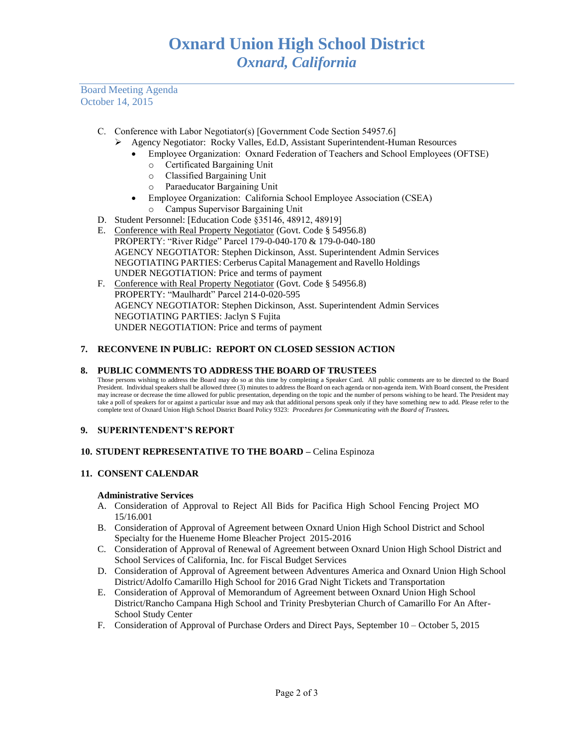Board Meeting Agenda October 14, 2015

- C. Conference with Labor Negotiator(s) [Government Code Section 54957.6]
	- Agency Negotiator: Rocky Valles, Ed.D, Assistant Superintendent-Human Resources
		- Employee Organization: Oxnard Federation of Teachers and School Employees (OFTSE)
			- o Certificated Bargaining Unit
			- o Classified Bargaining Unit
			- o Paraeducator Bargaining Unit
			- Employee Organization: California School Employee Association (CSEA)
			- o Campus Supervisor Bargaining Unit
- D. Student Personnel: [Education Code §35146, 48912, 48919]
- E. Conference with Real Property Negotiator (Govt. Code § 54956.8) PROPERTY: "River Ridge" Parcel 179-0-040-170 & 179-0-040-180 AGENCY NEGOTIATOR: Stephen Dickinson, Asst. Superintendent Admin Services NEGOTIATING PARTIES: Cerberus Capital Management and Ravello Holdings UNDER NEGOTIATION: Price and terms of payment
- F. Conference with Real Property Negotiator (Govt. Code § 54956.8) PROPERTY: "Maulhardt" Parcel 214-0-020-595 AGENCY NEGOTIATOR: Stephen Dickinson, Asst. Superintendent Admin Services NEGOTIATING PARTIES: Jaclyn S Fujita UNDER NEGOTIATION: Price and terms of payment

## **7. RECONVENE IN PUBLIC: REPORT ON CLOSED SESSION ACTION**

#### **8. PUBLIC COMMENTS TO ADDRESS THE BOARD OF TRUSTEES**

Those persons wishing to address the Board may do so at this time by completing a Speaker Card. All public comments are to be directed to the Board President. Individual speakers shall be allowed three (3) minutes to address the Board on each agenda or non-agenda item. With Board consent, the President may increase or decrease the time allowed for public presentation, depending on the topic and the number of persons wishing to be heard. The President may take a poll of speakers for or against a particular issue and may ask that additional persons speak only if they have something new to add. Please refer to the complete text of Oxnard Union High School District Board Policy 9323: *Procedures for Communicating with the Board of Trustees.*

## **9. SUPERINTENDENT'S REPORT**

## **10. STUDENT REPRESENTATIVE TO THE BOARD –** Celina Espinoza

## **11. CONSENT CALENDAR**

#### **Administrative Services**

- A. Consideration of Approval to Reject All Bids for Pacifica High School Fencing Project MO 15/16.001
- B. Consideration of Approval of Agreement between Oxnard Union High School District and School Specialty for the Hueneme Home Bleacher Project 2015-2016
- C. Consideration of Approval of Renewal of Agreement between Oxnard Union High School District and School Services of California, Inc. for Fiscal Budget Services
- D. Consideration of Approval of Agreement between Adventures America and Oxnard Union High School District/Adolfo Camarillo High School for 2016 Grad Night Tickets and Transportation
- E. Consideration of Approval of Memorandum of Agreement between Oxnard Union High School District/Rancho Campana High School and Trinity Presbyterian Church of Camarillo For An After-School Study Center
- F. Consideration of Approval of Purchase Orders and Direct Pays, September 10 October 5, 2015